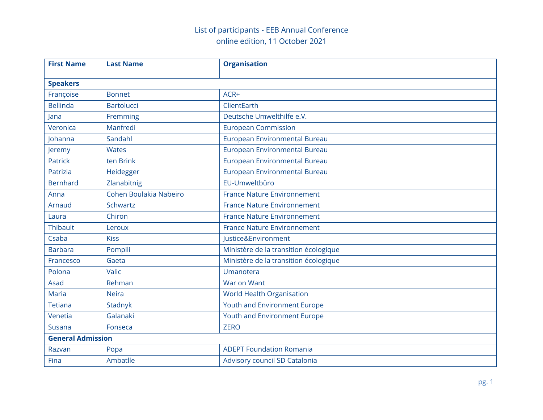| <b>First Name</b>        | <b>Last Name</b>       | <b>Organisation</b>                   |
|--------------------------|------------------------|---------------------------------------|
| <b>Speakers</b>          |                        |                                       |
| Françoise                | <b>Bonnet</b>          | ACR+                                  |
| <b>Bellinda</b>          | <b>Bartolucci</b>      | ClientEarth                           |
| Jana                     | Fremming               | Deutsche Umwelthilfe e.V.             |
| Veronica                 | Manfredi               | <b>European Commission</b>            |
| Johanna                  | Sandahl                | European Environmental Bureau         |
| Jeremy                   | <b>Wates</b>           | European Environmental Bureau         |
| <b>Patrick</b>           | ten Brink              | European Environmental Bureau         |
| Patrizia                 | Heidegger              | European Environmental Bureau         |
| <b>Bernhard</b>          | Zlanabitnig            | EU-Umweltbüro                         |
| Anna                     | Cohen Boulakia Nabeiro | <b>France Nature Environnement</b>    |
| Arnaud                   | Schwartz               | <b>France Nature Environnement</b>    |
| Laura                    | Chiron                 | <b>France Nature Environnement</b>    |
| <b>Thibault</b>          | Leroux                 | <b>France Nature Environnement</b>    |
| Csaba                    | <b>Kiss</b>            | Justice&Environment                   |
| <b>Barbara</b>           | Pompili                | Ministère de la transition écologique |
| Francesco                | Gaeta                  | Ministère de la transition écologique |
| Polona                   | Valic                  | Umanotera                             |
| Asad                     | Rehman                 | War on Want                           |
| <b>Maria</b>             | <b>Neira</b>           | <b>World Health Organisation</b>      |
| <b>Tetiana</b>           | Stadnyk                | Youth and Environment Europe          |
| Venetia                  | Galanaki               | Youth and Environment Europe          |
| Susana                   | Fonseca                | <b>ZERO</b>                           |
| <b>General Admission</b> |                        |                                       |
| Razvan                   | Popa                   | <b>ADEPT Foundation Romania</b>       |
| Fina                     | Ambatlle               | Advisory council SD Catalonia         |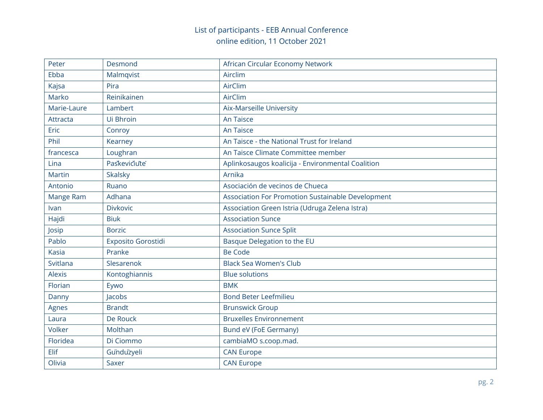| Peter         | Desmond                   | African Circular Economy Network                         |
|---------------|---------------------------|----------------------------------------------------------|
| Ebba          | Malmqvist                 | Airclim                                                  |
| Kajsa         | Pira                      | AirClim                                                  |
| Marko         | Reinikainen               | <b>AirClim</b>                                           |
| Marie-Laure   | Lambert                   | <b>Aix-Marseille University</b>                          |
| Attracta      | Ui Bhroin                 | <b>An Taisce</b>                                         |
| Eric          | Conroy                    | <b>An Taisce</b>                                         |
| Phil          | Kearney                   | An Taisce - the National Trust for Ireland               |
| francesca     | Loughran                  | An Taisce Climate Committee member                       |
| Lina          | Paskevičiute              | Aplinkosaugos koalicija - Environmental Coalition        |
| <b>Martin</b> | <b>Skalsky</b>            | Arnika                                                   |
| Antonio       | Ruano                     | Asociación de vecinos de Chueca                          |
| Mange Ram     | Adhana                    | <b>Association For Promotion Sustainable Development</b> |
| Ivan          | <b>Divkovic</b>           | Association Green Istria (Udruga Zelena Istra)           |
| Hajdi         | <b>Biuk</b>               | <b>Association Sunce</b>                                 |
| Josip         | <b>Borzic</b>             | <b>Association Sunce Split</b>                           |
| Pablo         | <b>Exposito Gorostidi</b> | Basque Delegation to the EU                              |
| <b>Kasia</b>  | Pranke                    | <b>Be Code</b>                                           |
| Svitlana      | Slesarenok                | <b>Black Sea Women's Club</b>                            |
| <b>Alexis</b> | Kontoghiannis             | <b>Blue solutions</b>                                    |
| Florian       | Eywo                      | <b>BMK</b>                                               |
| Danny         | Jacobs                    | <b>Bond Beter Leefmilieu</b>                             |
| Agnes         | <b>Brandt</b>             | <b>Brunswick Group</b>                                   |
| Laura         | De Rouck                  | <b>Bruxelles Environnement</b>                           |
| <b>Volker</b> | Molthan                   | <b>Bund eV (FoE Germany)</b>                             |
| Floridea      | Di Ciommo                 | cambiaMO s.coop.mad.                                     |
| Elif          | Gunduzyeli                | <b>CAN Europe</b>                                        |
| Olivia        | <b>Saxer</b>              | <b>CAN Europe</b>                                        |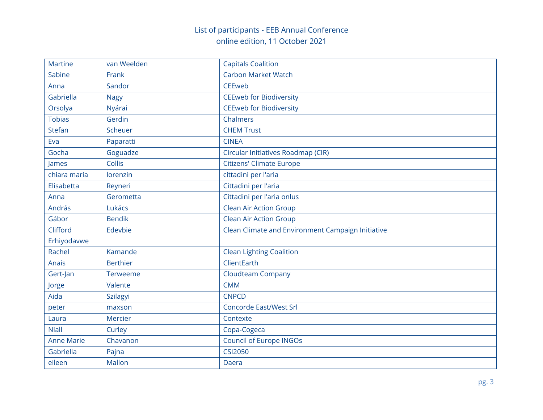| <b>Martine</b>    | van Weelden     | <b>Capitals Coalition</b>                         |
|-------------------|-----------------|---------------------------------------------------|
| Sabine            | Frank           | <b>Carbon Market Watch</b>                        |
| Anna              | Sandor          | <b>CEEweb</b>                                     |
| Gabriella         | <b>Nagy</b>     | <b>CEEweb for Biodiversity</b>                    |
| Orsolya           | Nyárai          | <b>CEEweb for Biodiversity</b>                    |
| <b>Tobias</b>     | Gerdin          | Chalmers                                          |
| <b>Stefan</b>     | Scheuer         | <b>CHEM Trust</b>                                 |
| Eva               | Paparatti       | <b>CINEA</b>                                      |
| Gocha             | Goguadze        | Circular Initiatives Roadmap (CIR)                |
| James             | Collis          | <b>Citizens' Climate Europe</b>                   |
| chiara maria      | lorenzin        | cittadini per l'aria                              |
| Elisabetta        | Reyneri         | Cittadini per l'aria                              |
| Anna              | Gerometta       | Cittadini per l'aria onlus                        |
| András            | Lukács          | <b>Clean Air Action Group</b>                     |
| Gábor             | <b>Bendik</b>   | <b>Clean Air Action Group</b>                     |
| Clifford          | Edevbie         | Clean Climate and Environment Campaign Initiative |
| Erhiyodavwe       |                 |                                                   |
| Rachel            | Kamande         | <b>Clean Lighting Coalition</b>                   |
| Anais             | <b>Berthier</b> | ClientEarth                                       |
| Gert-Jan          | Terweeme        | <b>Cloudteam Company</b>                          |
| Jorge             | Valente         | <b>CMM</b>                                        |
| Aida              | <b>Szilagyi</b> | <b>CNPCD</b>                                      |
| peter             | maxson          | <b>Concorde East/West Srl</b>                     |
| Laura             | <b>Mercier</b>  | Contexte                                          |
| <b>Niall</b>      | Curley          | Copa-Cogeca                                       |
| <b>Anne Marie</b> | Chavanon        | Council of Europe INGOs                           |
| Gabriella         | Pajna           | <b>CSI2050</b>                                    |
| eileen            | <b>Mallon</b>   | Daera                                             |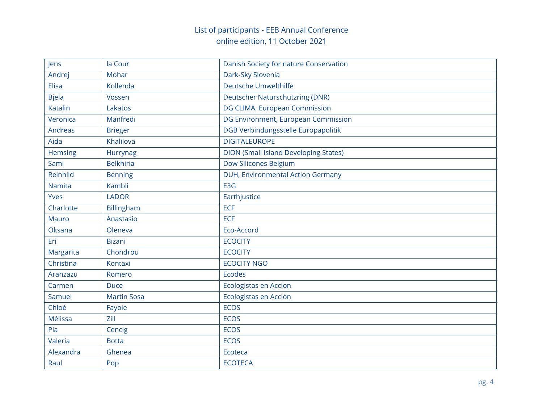| Jens           | la Cour            | Danish Society for nature Conservation       |
|----------------|--------------------|----------------------------------------------|
| Andrej         | Mohar              | Dark-Sky Slovenia                            |
| Elisa          | Kollenda           | Deutsche Umwelthilfe                         |
| <b>Bjela</b>   | Vossen             | Deutscher Naturschutzring (DNR)              |
| <b>Katalin</b> | Lakatos            | DG CLIMA, European Commission                |
| Veronica       | Manfredi           | DG Environment, European Commission          |
| <b>Andreas</b> | <b>Brieger</b>     | DGB Verbindungsstelle Europapolitik          |
| Aida           | Khalilova          | <b>DIGITALEUROPE</b>                         |
| Hemsing        | Hurrynag           | <b>DION (Small Island Developing States)</b> |
| Sami           | <b>Belkhiria</b>   | Dow Silicones Belgium                        |
| Reinhild       | <b>Benning</b>     | DUH, Environmental Action Germany            |
| <b>Namita</b>  | Kambli             | E3G                                          |
| Yves           | <b>LADOR</b>       | Earthjustice                                 |
| Charlotte      | Billingham         | <b>ECF</b>                                   |
| <b>Mauro</b>   | Anastasio          | <b>ECF</b>                                   |
| Oksana         | Oleneva            | Eco-Accord                                   |
| Eri            | <b>Bizani</b>      | <b>ECOCITY</b>                               |
| Margarita      | Chondrou           | <b>ECOCITY</b>                               |
| Christina      | Kontaxi            | <b>ECOCITY NGO</b>                           |
| Aranzazu       | Romero             | <b>Ecodes</b>                                |
| Carmen         | <b>Duce</b>        | <b>Ecologistas en Accion</b>                 |
| Samuel         | <b>Martin Sosa</b> | Ecologistas en Acción                        |
| Chloé          | Fayole             | <b>ECOS</b>                                  |
| Mélissa        | Zill               | <b>ECOS</b>                                  |
| Pia            | Cencig             | <b>ECOS</b>                                  |
| Valeria        | <b>Botta</b>       | <b>ECOS</b>                                  |
| Alexandra      | Ghenea             | Ecoteca                                      |
| Raul           | Pop                | <b>ECOTECA</b>                               |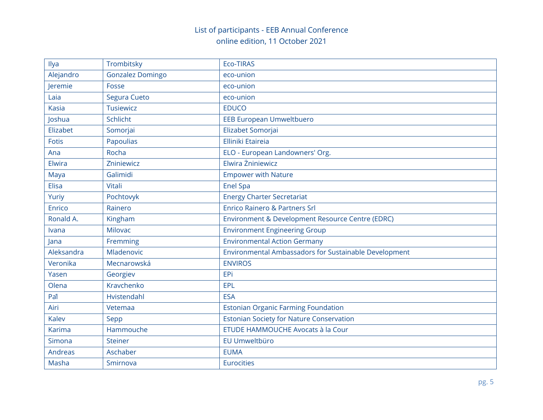| Ilya           | Trombitsky              | Eco-TIRAS                                             |
|----------------|-------------------------|-------------------------------------------------------|
| Alejandro      | <b>Gonzalez Domingo</b> | eco-union                                             |
| Jeremie        | Fosse                   | eco-union                                             |
| Laia           | Segura Cueto            | eco-union                                             |
| <b>Kasia</b>   | <b>Tusiewicz</b>        | <b>EDUCO</b>                                          |
| Joshua         | Schlicht                | <b>EEB European Umweltbuero</b>                       |
| Elizabet       | Somorjai                | Elizabet Somorjai                                     |
| Fotis          | Papoulias               | Elliniki Etaireia                                     |
| Ana            | Rocha                   | ELO - European Landowners' Org.                       |
| Elwira         | Zniniewicz              | Elwira Żniniewicz                                     |
| Maya           | Galimidi                | <b>Empower with Nature</b>                            |
| <b>Elisa</b>   | Vitali                  | <b>Enel Spa</b>                                       |
| Yuriy          | Pochtovyk               | <b>Energy Charter Secretariat</b>                     |
| Enrico         | Rainero                 | <b>Enrico Rainero &amp; Partners Srl</b>              |
| Ronald A.      | Kingham                 | Environment & Development Resource Centre (EDRC)      |
| Ivana          | <b>Milovac</b>          | <b>Environment Engineering Group</b>                  |
| Jana           | Fremming                | <b>Environmental Action Germany</b>                   |
| Aleksandra     | Mladenovic              | Environmental Ambassadors for Sustainable Development |
| Veronika       | Mecnarowská             | <b>ENVIROS</b>                                        |
| Yasen          | Georgiev                | EPi                                                   |
| Olena          | Kravchenko              | EPL                                                   |
| Pal            | Hvistendahl             | <b>ESA</b>                                            |
| Airi           | Vetemaa                 | <b>Estonian Organic Farming Foundation</b>            |
| Kalev          | Sepp                    | <b>Estonian Society for Nature Conservation</b>       |
| <b>Karima</b>  | Hammouche               | ETUDE HAMMOUCHE Avocats à la Cour                     |
| Simona         | <b>Steiner</b>          | EU Umweltbüro                                         |
| <b>Andreas</b> | Aschaber                | <b>EUMA</b>                                           |
| Masha          | Smirnova                | Eurocities                                            |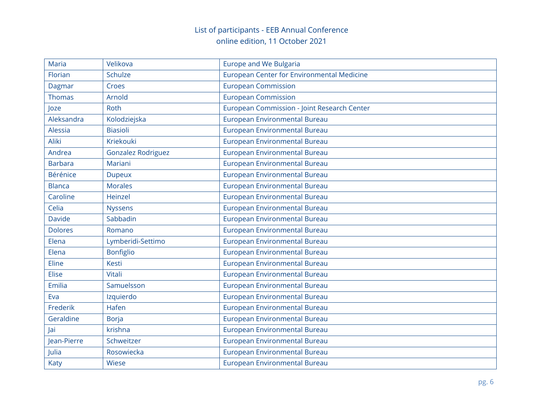| Maria          | Velikova                  | <b>Europe and We Bulgaria</b>               |
|----------------|---------------------------|---------------------------------------------|
| Florian        | <b>Schulze</b>            | European Center for Environmental Medicine  |
| Dagmar         | Croes                     | <b>European Commission</b>                  |
| <b>Thomas</b>  | Arnold                    | <b>European Commission</b>                  |
| Joze           | Roth                      | European Commission - Joint Research Center |
| Aleksandra     | Kolodziejska              | European Environmental Bureau               |
| Alessia        | <b>Biasioli</b>           | European Environmental Bureau               |
| Aliki          | Kriekouki                 | European Environmental Bureau               |
| Andrea         | <b>Gonzalez Rodriguez</b> | European Environmental Bureau               |
| <b>Barbara</b> | Mariani                   | European Environmental Bureau               |
| Bérénice       | <b>Dupeux</b>             | European Environmental Bureau               |
| <b>Blanca</b>  | <b>Morales</b>            | European Environmental Bureau               |
| Caroline       | Heinzel                   | European Environmental Bureau               |
| Celia          | <b>Nyssens</b>            | European Environmental Bureau               |
| <b>Davide</b>  | Sabbadin                  | European Environmental Bureau               |
| <b>Dolores</b> | Romano                    | European Environmental Bureau               |
| Elena          | Lymberidi-Settimo         | European Environmental Bureau               |
| Elena          | <b>Bonfiglio</b>          | European Environmental Bureau               |
| Eline          | <b>Kesti</b>              | European Environmental Bureau               |
| <b>Elise</b>   | Vitali                    | European Environmental Bureau               |
| Emilia         | Samuelsson                | European Environmental Bureau               |
| Eva            | Izquierdo                 | European Environmental Bureau               |
| Frederik       | <b>Hafen</b>              | European Environmental Bureau               |
| Geraldine      | <b>Borja</b>              | European Environmental Bureau               |
| Jai            | krishna                   | European Environmental Bureau               |
| Jean-Pierre    | Schweitzer                | European Environmental Bureau               |
| Julia          | Rosowiecka                | European Environmental Bureau               |
| Katy           | <b>Wiese</b>              | European Environmental Bureau               |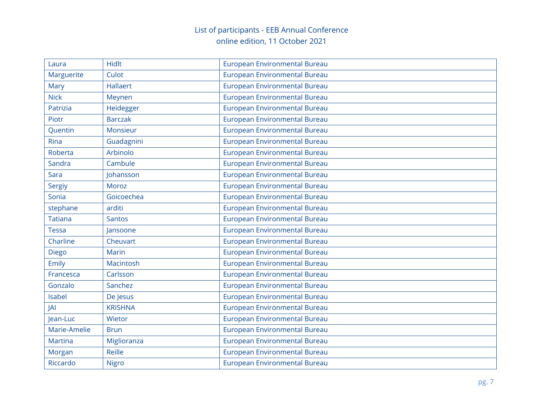| Laura          | <b>Hidlt</b>    | European Environmental Bureau |
|----------------|-----------------|-------------------------------|
| Marguerite     | Culot           | European Environmental Bureau |
| Mary           | <b>Hallaert</b> | European Environmental Bureau |
| <b>Nick</b>    | Meynen          | European Environmental Bureau |
| Patrizia       | Heidegger       | European Environmental Bureau |
| Piotr          | <b>Barczak</b>  | European Environmental Bureau |
| Quentin        | Monsieur        | European Environmental Bureau |
| Rina           | Guadagnini      | European Environmental Bureau |
| Roberta        | Arbinolo        | European Environmental Bureau |
| Sandra         | Cambule         | European Environmental Bureau |
| Sara           | Johansson       | European Environmental Bureau |
| <b>Sergiy</b>  | Moroz           | European Environmental Bureau |
| Sonia          | Goicoechea      | European Environmental Bureau |
| stephane       | arditi          | European Environmental Bureau |
| <b>Tatiana</b> | <b>Santos</b>   | European Environmental Bureau |
| <b>Tessa</b>   | Jansoone        | European Environmental Bureau |
| Charline       | Cheuvart        | European Environmental Bureau |
| Diego          | Marin           | European Environmental Bureau |
| Emily          | Macintosh       | European Environmental Bureau |
| Francesca      | Carlsson        | European Environmental Bureau |
| Gonzalo        | Sanchez         | European Environmental Bureau |
| Isabel         | De Jesus        | European Environmental Bureau |
| JAI            | <b>KRISHNA</b>  | European Environmental Bureau |
| Jean-Luc       | Wietor          | European Environmental Bureau |
| Marie-Amelie   | <b>Brun</b>     | European Environmental Bureau |
| <b>Martina</b> | Miglioranza     | European Environmental Bureau |
| Morgan         | Reille          | European Environmental Bureau |
| Riccardo       | <b>Nigro</b>    | European Environmental Bureau |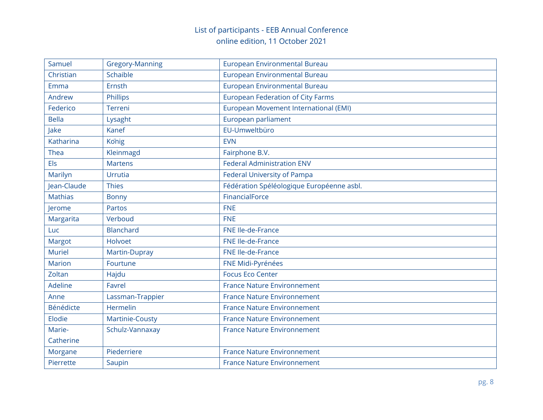| Samuel         | <b>Gregory-Manning</b> | European Environmental Bureau             |
|----------------|------------------------|-------------------------------------------|
| Christian      | Schaible               | European Environmental Bureau             |
| Emma           | Ernsth                 | European Environmental Bureau             |
| Andrew         | Phillips               | <b>European Federation of City Farms</b>  |
| Federico       | Terreni                | European Movement International (EMI)     |
| <b>Bella</b>   | Lysaght                | European parliament                       |
| Jake           | Kanef                  | EU-Umweltbüro                             |
| Katharina      | Konig                  | <b>EVN</b>                                |
| Thea           | Kleinmagd              | Fairphone B.V.                            |
| Els            | <b>Martens</b>         | <b>Federal Administration ENV</b>         |
| Marilyn        | Urrutia                | Federal University of Pampa               |
| Jean-Claude    | <b>Thies</b>           | Fédération Spéléologique Européenne asbl. |
| <b>Mathias</b> | <b>Bonny</b>           | FinancialForce                            |
| Jerome         | Partos                 | <b>FNE</b>                                |
| Margarita      | Verboud                | <b>FNE</b>                                |
| Luc            | <b>Blanchard</b>       | FNE Ile-de-France                         |
| Margot         | Holvoet                | FNE Ile-de-France                         |
| <b>Muriel</b>  | Martin-Dupray          | FNE Ile-de-France                         |
| <b>Marion</b>  | Fourtune               | FNE Midi-Pyrénées                         |
| Zoltan         | Hajdu                  | <b>Focus Eco Center</b>                   |
| Adeline        | <b>Favrel</b>          | <b>France Nature Environnement</b>        |
| Anne           | Lassman-Trappier       | <b>France Nature Environnement</b>        |
| Bénédicte      | Hermelin               | <b>France Nature Environnement</b>        |
| Elodie         | Martinie-Cousty        | <b>France Nature Environnement</b>        |
| Marie-         | Schulz-Vannaxay        | <b>France Nature Environnement</b>        |
| Catherine      |                        |                                           |
| Morgane        | Piederriere            | <b>France Nature Environnement</b>        |
| Pierrette      | Saupin                 | <b>France Nature Environnement</b>        |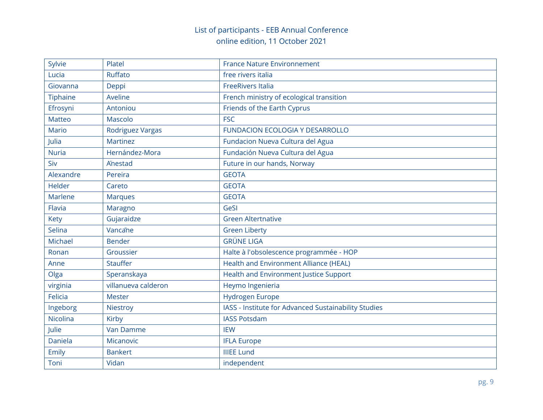| Sylvie         | Platel              | <b>France Nature Environnement</b>                   |
|----------------|---------------------|------------------------------------------------------|
| Lucia          | Ruffato             | free rivers italia                                   |
| Giovanna       | Deppi               | <b>FreeRivers Italia</b>                             |
| Tiphaine       | Aveline             | French ministry of ecological transition             |
| Efrosyni       | Antoniou            | Friends of the Earth Cyprus                          |
| <b>Matteo</b>  | Mascolo             | <b>FSC</b>                                           |
| <b>Mario</b>   | Rodriguez Vargas    | <b>FUNDACION ECOLOGIA Y DESARROLLO</b>               |
| Julia          | <b>Martinez</b>     | Fundacion Nueva Cultura del Agua                     |
| <b>Nuria</b>   | Hernández-Mora      | Fundación Nueva Cultura del Agua                     |
| Siv            | Anestad             | Future in our hands, Norway                          |
| Alexandre      | Pereira             | <b>GEOTA</b>                                         |
| Helder         | Careto              | <b>GEOTA</b>                                         |
| <b>Marlene</b> | <b>Marques</b>      | <b>GEOTA</b>                                         |
| Flavia         | Maragno             | GeSI                                                 |
| Kety           | Gujaraidze          | <b>Green Altertnative</b>                            |
| Selina         | Vancane             | <b>Green Liberty</b>                                 |
| <b>Michael</b> | <b>Bender</b>       | <b>GRÜNE LIGA</b>                                    |
| Ronan          | Groussier           | Halte à l'obsolescence programmée - HOP              |
| Anne           | <b>Stauffer</b>     | Health and Environment Alliance (HEAL)               |
| Olga           | Speranskaya         | Health and Environment Justice Support               |
| virginia       | villanueva calderon | Heymo Ingenieria                                     |
| <b>Felicia</b> | <b>Mester</b>       | <b>Hydrogen Europe</b>                               |
| Ingeborg       | Niestroy            | IASS - Institute for Advanced Sustainability Studies |
| Nicolina       | Kirby               | <b>IASS Potsdam</b>                                  |
| Julie          | <b>Van Damme</b>    | <b>IEW</b>                                           |
| Daniela        | Micanovic           | <b>IFLA Europe</b>                                   |
| Emily          | <b>Bankert</b>      | <b>IIIEE Lund</b>                                    |
| Toni           | Vidan               | independent                                          |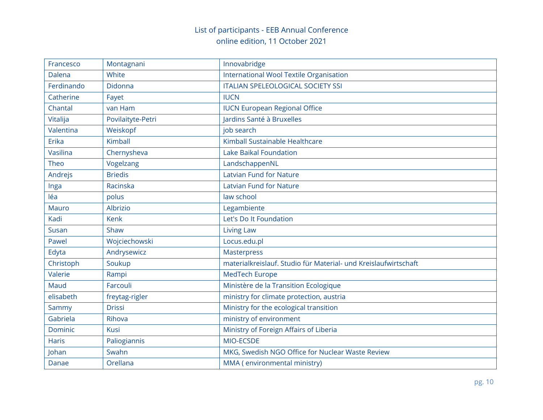| Francesco    | Montagnani        | Innovabridge                                                    |
|--------------|-------------------|-----------------------------------------------------------------|
| Dalena       | White             | <b>International Wool Textile Organisation</b>                  |
| Ferdinando   | Didonna           | <b>ITALIAN SPELEOLOGICAL SOCIETY SSI</b>                        |
| Catherine    | Fayet             | <b>IUCN</b>                                                     |
| Chantal      | van Ham           | <b>IUCN European Regional Office</b>                            |
| Vitalija     | Povilaityte-Petri | Jardins Santé à Bruxelles                                       |
| Valentina    | Weiskopf          | job search                                                      |
| Erika        | Kimball           | Kimball Sustainable Healthcare                                  |
| Vasilina     | Chernysheva       | <b>Lake Baikal Foundation</b>                                   |
| Theo         | Vogelzang         | LandschappenNL                                                  |
| Andrejs      | <b>Briedis</b>    | <b>Latvian Fund for Nature</b>                                  |
| Inga         | Racinska          | <b>Latvian Fund for Nature</b>                                  |
| léa          | polus             | law school                                                      |
| <b>Mauro</b> | Albrizio          | Legambiente                                                     |
| Kadi         | <b>Kenk</b>       | Let's Do It Foundation                                          |
| Susan        | Shaw              | <b>Living Law</b>                                               |
| Pawel        | Wojciechowski     | Locus.edu.pl                                                    |
| Edyta        | Andrysewicz       | <b>Masterpress</b>                                              |
| Christoph    | Soukup            | materialkreislauf. Studio für Material- und Kreislaufwirtschaft |
| Valerie      | Rampi             | MedTech Europe                                                  |
| Maud         | Farcouli          | Ministère de la Transition Ecologique                           |
| elisabeth    | freytag-rigler    | ministry for climate protection, austria                        |
| Sammy        | <b>Drissi</b>     | Ministry for the ecological transition                          |
| Gabriela     | Rihova            | ministry of environment                                         |
| Dominic      | Kusi              | Ministry of Foreign Affairs of Liberia                          |
| <b>Haris</b> | Paliogiannis      | MIO-ECSDE                                                       |
| Johan        | Swahn             | MKG, Swedish NGO Office for Nuclear Waste Review                |
| Danae        | Orellana          | MMA (environmental ministry)                                    |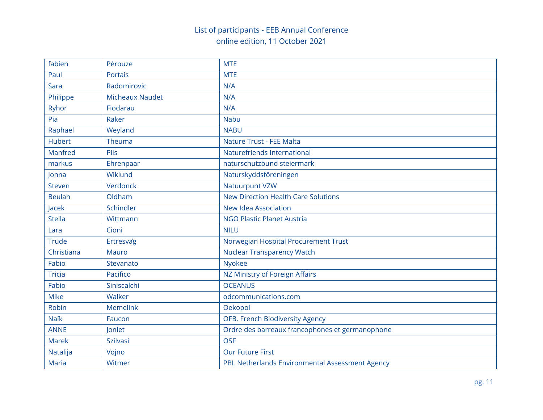| fabien        | Pérouze                | <b>MTE</b>                                      |
|---------------|------------------------|-------------------------------------------------|
| Paul          | <b>Portais</b>         | <b>MTE</b>                                      |
| Sara          | Radomirovic            | N/A                                             |
| Philippe      | <b>Micheaux Naudet</b> | N/A                                             |
| Ryhor         | Fiodarau               | N/A                                             |
| Pia           | Raker                  | <b>Nabu</b>                                     |
| Raphael       | Weyland                | <b>NABU</b>                                     |
| <b>Hubert</b> | Theuma                 | Nature Trust - FEE Malta                        |
| Manfred       | Pils                   | Naturefriends International                     |
| markus        | Ehrenpaar              | naturschutzbund steiermark                      |
| Jonna         | Wiklund                | Naturskyddsföreningen                           |
| <b>Steven</b> | Verdonck               | <b>Natuurpunt VZW</b>                           |
| <b>Beulah</b> | Oldham                 | <b>New Direction Health Care Solutions</b>      |
| Jacek         | Schindler              | New Idea Association                            |
| <b>Stella</b> | Wittmann               | <b>NGO Plastic Planet Austria</b>               |
| Lara          | Cioni                  | <b>NILU</b>                                     |
| <b>Trude</b>  | Ertresvag              | Norwegian Hospital Procurement Trust            |
| Christiana    | <b>Mauro</b>           | <b>Nuclear Transparency Watch</b>               |
| Fabio         | Stevanato              | <b>Nyokee</b>                                   |
| <b>Tricia</b> | Pacifico               | NZ Ministry of Foreign Affairs                  |
| Fabio         | Siniscalchi            | <b>OCEANUS</b>                                  |
| <b>Mike</b>   | Walker                 | odcommunications.com                            |
| Robin         | <b>Memelink</b>        | Oekopol                                         |
| <b>Naik</b>   | Faucon                 | OFB. French Biodiversity Agency                 |
| <b>ANNE</b>   | Jonlet                 | Ordre des barreaux francophones et germanophone |
| <b>Marek</b>  | <b>Szilvasi</b>        | <b>OSF</b>                                      |
| Natalija      | Vojno                  | <b>Our Future First</b>                         |
| Maria         | Witmer                 | PBL Netherlands Environmental Assessment Agency |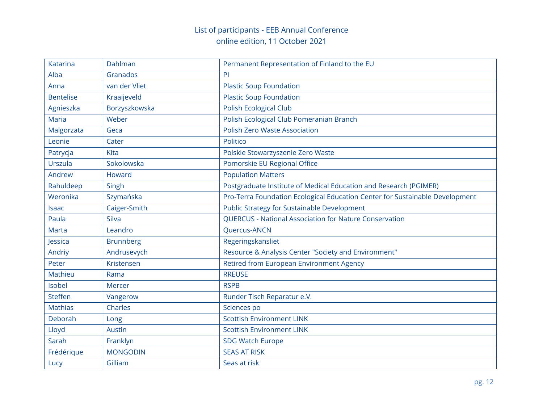| Katarina         | Dahlman          | Permanent Representation of Finland to the EU                                |
|------------------|------------------|------------------------------------------------------------------------------|
| Alba             | Granados         | <b>PI</b>                                                                    |
| Anna             | van der Vliet    | <b>Plastic Soup Foundation</b>                                               |
| <b>Bentelise</b> | Kraaijeveld      | <b>Plastic Soup Foundation</b>                                               |
| Agnieszka        | Borzyszkowska    | <b>Polish Ecological Club</b>                                                |
| Maria            | Weber            | Polish Ecological Club Pomeranian Branch                                     |
| Malgorzata       | Geca             | <b>Polish Zero Waste Association</b>                                         |
| Leonie           | Cater            | Politico                                                                     |
| Patrycja         | Kita             | Polskie Stowarzyszenie Zero Waste                                            |
| Urszula          | Sokolowska       | Pomorskie EU Regional Office                                                 |
| Andrew           | Howard           | <b>Population Matters</b>                                                    |
| Rahuldeep        | Singh            | Postgraduate Institute of Medical Education and Research (PGIMER)            |
| Weronika         | Szymańska        | Pro-Terra Foundation Ecological Education Center for Sustainable Development |
| <b>Isaac</b>     | Caiger-Smith     | Public Strategy for Sustainable Development                                  |
| Paula            | Silva            | <b>QUERCUS - National Association for Nature Conservation</b>                |
| <b>Marta</b>     | Leandro          | <b>Ouercus-ANCN</b>                                                          |
| Jessica          | <b>Brunnberg</b> | Regeringskansliet                                                            |
| Andriy           | Andrusevych      | Resource & Analysis Center "Society and Environment"                         |
| Peter            | Kristensen       | Retired from European Environment Agency                                     |
| Mathieu          | Rama             | <b>RREUSE</b>                                                                |
| Isobel           | Mercer           | <b>RSPB</b>                                                                  |
| <b>Steffen</b>   | Vangerow         | Runder Tisch Reparatur e.V.                                                  |
| <b>Mathias</b>   | Charles          | Sciences po                                                                  |
| Deborah          | Long             | <b>Scottish Environment LINK</b>                                             |
| Lloyd            | <b>Austin</b>    | <b>Scottish Environment LINK</b>                                             |
| Sarah            | Franklyn         | <b>SDG Watch Europe</b>                                                      |
| Frédérique       | <b>MONGODIN</b>  | <b>SEAS AT RISK</b>                                                          |
| Lucy             | Gilliam          | Seas at risk                                                                 |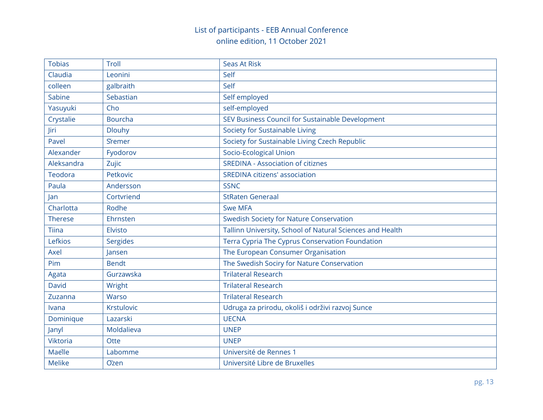| <b>Tobias</b>   | Troll          | <b>Seas At Risk</b>                                       |
|-----------------|----------------|-----------------------------------------------------------|
| Claudia         | Leonini        | Self                                                      |
| colleen         | galbraith      | Self                                                      |
| Sabine          | Sebastian      | Self employed                                             |
| Yasuyuki        | Cho            | self-employed                                             |
| Crystalie       | <b>Bourcha</b> | SEV Business Council for Sustainable Development          |
| Jiri            | <b>Dlouhy</b>  | Society for Sustainable Living                            |
| Pavel           | <b>Sremer</b>  | Society for Sustainable Living Czech Republic             |
| Alexander       | Fyodorov       | Socio-Ecological Union                                    |
| Aleksandra      | Zujic          | <b>SREDINA - Association of citiznes</b>                  |
| Teodora         | Petkovic       | <b>SREDINA citizens' association</b>                      |
| Paula           | Andersson      | <b>SSNC</b>                                               |
| Jan             | Cortvriend     | <b>StRaten Generaal</b>                                   |
| Charlotta       | Rodhe          | <b>Swe MFA</b>                                            |
| <b>Therese</b>  | Ehrnsten       | <b>Swedish Society for Nature Conservation</b>            |
| Tiina           | <b>Elvisto</b> | Tallinn University, School of Natural Sciences and Health |
| Lefkios         | Sergides       | Terra Cypria The Cyprus Conservation Foundation           |
| Axel            | Jansen         | The European Consumer Organisation                        |
| Pim             | <b>Bendt</b>   | The Swedish Sociry for Nature Conservation                |
| Agata           | Gurzawska      | <b>Trilateral Research</b>                                |
| David           | Wright         | <b>Trilateral Research</b>                                |
| Zuzanna         | Warso          | <b>Trilateral Research</b>                                |
| Ivana           | Krstulovic     | Udruga za prirodu, okoliš i održivi razvoj Sunce          |
| Dominique       | Lazarski       | <b>UECNA</b>                                              |
| Janyl           | Moldalieva     | <b>UNEP</b>                                               |
| <b>Viktoria</b> | Otte           | <b>UNEP</b>                                               |
| Maelle          | Labomme        | Université de Rennes 1                                    |
| <b>Melike</b>   | <b>Ozen</b>    | Université Libre de Bruxelles                             |